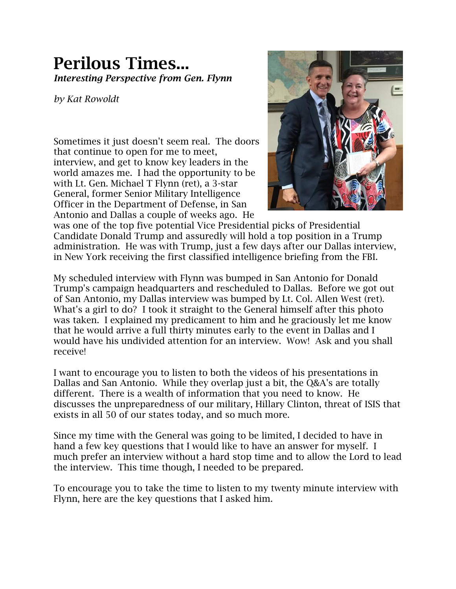## **Perilous Times...** *Interesting Perspective from Gen. Flynn*

*by Kat Rowoldt*

Sometimes it just doesn't seem real. The doors that continue to open for me to meet, interview, and get to know key leaders in the world amazes me. I had the opportunity to be with Lt. Gen. Michael T Flynn (ret), a 3-star General, former Senior Military Intelligence Officer in the Department of Defense, in San Antonio and Dallas a couple of weeks ago. He



was one of the top five potential Vice Presidential picks of Presidential Candidate Donald Trump and assuredly will hold a top position in a Trump administration. He was with Trump, just a few days after our Dallas interview, in New York receiving the first classified intelligence briefing from the FBI.

My scheduled interview with Flynn was bumped in San Antonio for Donald Trump's campaign headquarters and rescheduled to Dallas. Before we got out of San Antonio, my Dallas interview was bumped by Lt. Col. Allen West (ret). What's a girl to do? I took it straight to the General himself after this photo was taken. I explained my predicament to him and he graciously let me know that he would arrive a full thirty minutes early to the event in Dallas and I would have his undivided attention for an interview. Wow! Ask and you shall receive!

I want to encourage you to listen to both the videos of his presentations in Dallas and San Antonio. While they overlap just a bit, the Q&A's are totally different. There is a wealth of information that you need to know. He discusses the unpreparedness of our military, Hillary Clinton, threat of ISIS that exists in all 50 of our states today, and so much more.

Since my time with the General was going to be limited, I decided to have in hand a few key questions that I would like to have an answer for myself. I much prefer an interview without a hard stop time and to allow the Lord to lead the interview. This time though, I needed to be prepared.

To encourage you to take the time to listen to my twenty minute interview with Flynn, here are the key questions that I asked him.